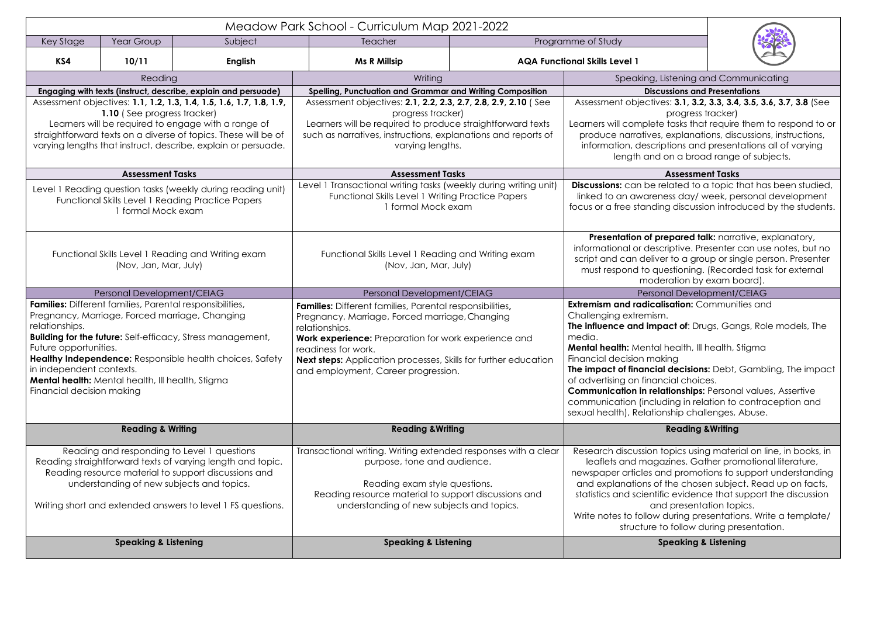**Engaging with texts (instruct, describe, explain and persuade) Spelling, Punctuation and Grammar and Writing Composition Discussions and Presentations**

Assessment objectives: **3.1, 3.2, 3.3, 3.4, 3.5, 3.6, 3.7, 3.8** (See progress tracker)

tasks that require them to respond to or explanations, discussions, instructions, ptions and presentations all of varying on a broad range of subjects.

### **Assessment Tasks Assessment Tasks Assessment Tasks**

elated to a topic that has been studied, less day/ week, personal development g discussion introduced by the students.

**repared talk:** narrative, explanatory, riptive. Presenter can use notes, but no er to a group or single person. Presenter vestioning. (Recorded task for external eration by exam board).

nal Development/CEIAG

**lisation:** Communities and

**act of**: Drugs, Gangs, Role models, The

health, Ill health, Stigma kina

**I decisions:** Debt, Gambling, The impact icial choices.

**ationships:** Personal values, Assertive ding in relation to contraception and nship challenges, Abuse.

# **Reading &Writing**

topics using material on line, in books, in azines. Gather promotional literature, nd promotions to support understanding the chosen subject. Read up on facts, ic evidence that support the discussion d presentation topics.

during presentations. Write a template/ to follow during presentation.

|                                                                                                                                                                                                                                                                                                                                                                                                     |                                 |                                                                                                                                                                                                                                                                                                                                     | Meadow Park School - Curriculum Map 2021-2022                    |                                                                                                                                                                                                                                                                                                 |                                      |
|-----------------------------------------------------------------------------------------------------------------------------------------------------------------------------------------------------------------------------------------------------------------------------------------------------------------------------------------------------------------------------------------------------|---------------------------------|-------------------------------------------------------------------------------------------------------------------------------------------------------------------------------------------------------------------------------------------------------------------------------------------------------------------------------------|------------------------------------------------------------------|-------------------------------------------------------------------------------------------------------------------------------------------------------------------------------------------------------------------------------------------------------------------------------------------------|--------------------------------------|
| Key Stage                                                                                                                                                                                                                                                                                                                                                                                           | Year Group                      | Subject                                                                                                                                                                                                                                                                                                                             | Teacher                                                          |                                                                                                                                                                                                                                                                                                 | Programme of Study                   |
| KS4                                                                                                                                                                                                                                                                                                                                                                                                 | 10/11                           | <b>English</b>                                                                                                                                                                                                                                                                                                                      | <b>Ms R Millsip</b>                                              |                                                                                                                                                                                                                                                                                                 | <b>AQA Functional Skills Level 1</b> |
| Reading                                                                                                                                                                                                                                                                                                                                                                                             |                                 | Writing                                                                                                                                                                                                                                                                                                                             |                                                                  | Speaking, Lis                                                                                                                                                                                                                                                                                   |                                      |
|                                                                                                                                                                                                                                                                                                                                                                                                     |                                 | Engaging with texts (instruct, describe, explain and persuade)                                                                                                                                                                                                                                                                      | <b>Spelling, Punctuation and Grammar and Writing Composition</b> |                                                                                                                                                                                                                                                                                                 | <b>Discus</b>                        |
| Assessment objectives: 1.1, 1.2, 1.3, 1.4, 1.5, 1.6, 1.7, 1.8, 1.9,<br>1.10 (See progress tracker)<br>Learners will be required to engage with a range of<br>straightforward texts on a diverse of topics. These will be of<br>varying lengths that instruct, describe, explain or persuade.                                                                                                        |                                 | Assessment objectives: 2.1, 2.2, 2.3, 2.7, 2.8, 2.9, 2.10 (See<br>progress tracker)<br>Learners will be required to produce straightforward texts<br>such as narratives, instructions, explanations and reports of<br>varying lengths.                                                                                              |                                                                  | Assessment objectives<br>Learners will complete<br>produce narratives,<br>information, descrip<br>length and c                                                                                                                                                                                  |                                      |
| <b>Assessment Tasks</b>                                                                                                                                                                                                                                                                                                                                                                             |                                 |                                                                                                                                                                                                                                                                                                                                     | <b>Assessment Tasks</b>                                          |                                                                                                                                                                                                                                                                                                 |                                      |
| Level 1 Reading question tasks (weekly during reading unit)<br><b>Functional Skills Level 1 Reading Practice Papers</b><br>1 formal Mock exam                                                                                                                                                                                                                                                       |                                 | Level 1 Transactional writing tasks (weekly during writing unit)<br><b>Functional Skills Level 1 Writing Practice Papers</b><br>1 formal Mock exam                                                                                                                                                                                  |                                                                  | Discussions: can be rel<br>linked to an awarene<br>focus or a free standing                                                                                                                                                                                                                     |                                      |
| Functional Skills Level 1 Reading and Writing exam<br>(Nov, Jan, Mar, July)                                                                                                                                                                                                                                                                                                                         |                                 | Functional Skills Level 1 Reading and Writing exam<br>(Nov, Jan, Mar, July)                                                                                                                                                                                                                                                         |                                                                  | <b>Presentation of pre</b><br>informational or descr<br>script and can deliver<br>must respond to que<br>moder                                                                                                                                                                                  |                                      |
|                                                                                                                                                                                                                                                                                                                                                                                                     | Personal Development/CEIAG      |                                                                                                                                                                                                                                                                                                                                     | Personal Development/CEIAG                                       |                                                                                                                                                                                                                                                                                                 | Person                               |
| Families: Different families, Parental responsibilities,<br>Pregnancy, Marriage, Forced marriage, Changing<br>relationships.<br><b>Building for the future:</b> Self-efficacy, Stress management,<br>Future opportunities.<br>Healthy Independence: Responsible health choices, Safety<br>in independent contexts.<br>Mental health: Mental health, Ill health, Stigma<br>Financial decision making |                                 | <b>Families:</b> Different families, Parental responsibilities,<br>Pregnancy, Marriage, Forced marriage, Changing<br>relationships.<br>Work experience: Preparation for work experience and<br>readiness for work.<br><b>Next steps:</b> Application processes, Skills for further education<br>and employment, Career progression. |                                                                  | <b>Extremism and radicalis</b><br>Challenging extremism.<br>The influence and impa<br>media.<br>Mental health: Mental h<br>Financial decision maki<br>The impact of financial<br>of advertising on financ<br><b>Communication in relat</b><br>communication (includ<br>sexual health), Relation |                                      |
|                                                                                                                                                                                                                                                                                                                                                                                                     | <b>Reading &amp; Writing</b>    |                                                                                                                                                                                                                                                                                                                                     | <b>Reading &amp; Writing</b>                                     |                                                                                                                                                                                                                                                                                                 |                                      |
| Reading and responding to Level 1 questions<br>Reading straightforward texts of varying length and topic.<br>Reading resource material to support discussions and<br>understanding of new subjects and topics.<br>Writing short and extended answers to level 1 FS questions.                                                                                                                       |                                 | Transactional writing. Writing extended responses with a clear<br>purpose, tone and audience.<br>Reading exam style questions.<br>Reading resource material to support discussions and<br>understanding of new subjects and topics.                                                                                                 |                                                                  | Research discussion to<br>leaflets and magaz<br>newspaper articles and<br>and explanations of t<br>statistics and scientific<br>and<br>Write notes to follow d<br>structure to                                                                                                                  |                                      |
|                                                                                                                                                                                                                                                                                                                                                                                                     | <b>Speaking &amp; Listening</b> |                                                                                                                                                                                                                                                                                                                                     | <b>Speaking &amp; Listening</b>                                  |                                                                                                                                                                                                                                                                                                 | <b>Sp</b>                            |





istening and Communicating

# **Speaking & Listening Speaking & Listening Speaking & Listening**